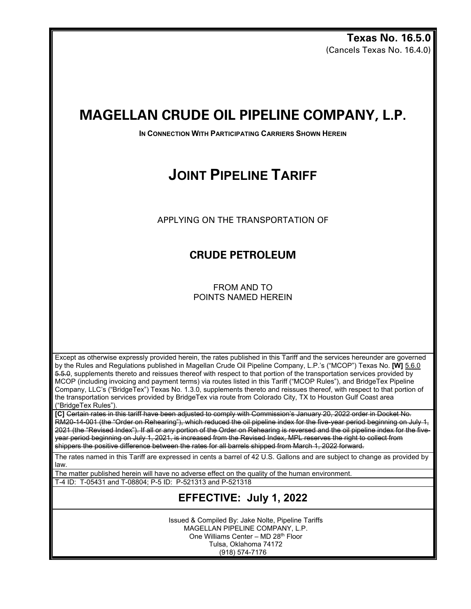**Texas No. 16.5.0** (Cancels Texas No. 16.4.0)

## **MAGELLAN CRUDE OIL PIPELINE COMPANY, L.P.**

**IN CONNECTION WITH PARTICIPATING CARRIERS SHOWN HEREIN** 

# **JOINT PIPELINE TARIFF**

APPLYING ON THE TRANSPORTATION OF

## **CRUDE PETROLEUM**

FROM AND TO POINTS NAMED HEREIN

Except as otherwise expressly provided herein, the rates published in this Tariff and the services hereunder are governed by the Rules and Regulations published in Magellan Crude Oil Pipeline Company, L.P.'s ("MCOP") Texas No. **[W]** 5.6.0 5.5.0, supplements thereto and reissues thereof with respect to that portion of the transportation services provided by MCOP (including invoicing and payment terms) via routes listed in this Tariff ("MCOP Rules"), and BridgeTex Pipeline Company, LLC's ("BridgeTex") Texas No. 1.3.0, supplements thereto and reissues thereof, with respect to that portion of the transportation services provided by BridgeTex via route from Colorado City, TX to Houston Gulf Coast area ("BridgeTex Rules").

**[C]** Certain rates in this tariff have been adjusted to comply with Commission's January 20, 2022 order in Docket No. RM20-14-001 (the "Order on Rehearing"), which reduced the oil pipeline index for the five-year period beginning on July 1, 2021 (the "Revised Index"). If all or any portion of the Order on Rehearing is reversed and the oil pipeline index for the fiveyear period beginning on July 1, 2021, is increased from the Revised Index, MPL reserves the right to collect from shippers the positive difference between the rates for all barrels shipped from March 1, 2022 forward.

The rates named in this Tariff are expressed in cents a barrel of 42 U.S. Gallons and are subject to change as provided by law.

The matter published herein will have no adverse effect on the quality of the human environment.

T-4 ID: T-05431 and T-08804; P-5 ID: P-521313 and P-521318

## **EFFECTIVE: July 1, 2022**

Issued & Compiled By: Jake Nolte, Pipeline Tariffs MAGELLAN PIPELINE COMPANY, L.P. One Williams Center – MD 28th Floor Tulsa, Oklahoma 74172 (918) 574-7176